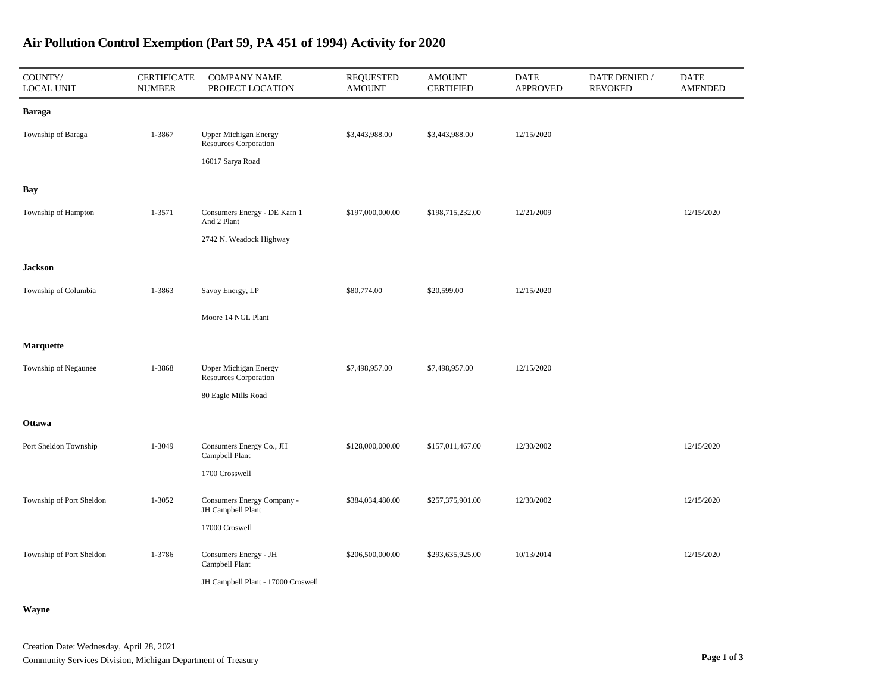| COUNTY/<br><b>LOCAL UNIT</b> | <b>CERTIFICATE</b><br><b>NUMBER</b> | <b>COMPANY NAME</b><br>PROJECT LOCATION                                          | <b>REQUESTED</b><br><b>AMOUNT</b> | <b>AMOUNT</b><br><b>CERTIFIED</b> | <b>DATE</b><br>APPROVED | DATE DENIED /<br><b>REVOKED</b> | <b>DATE</b><br><b>AMENDED</b> |
|------------------------------|-------------------------------------|----------------------------------------------------------------------------------|-----------------------------------|-----------------------------------|-------------------------|---------------------------------|-------------------------------|
| Baraga                       |                                     |                                                                                  |                                   |                                   |                         |                                 |                               |
| Township of Baraga           | 1-3867                              | <b>Upper Michigan Energy</b><br><b>Resources Corporation</b><br>16017 Sarya Road | \$3,443,988.00                    | \$3,443,988.00                    | 12/15/2020              |                                 |                               |
| Bay                          |                                     |                                                                                  |                                   |                                   |                         |                                 |                               |
| Township of Hampton          | 1-3571                              | Consumers Energy - DE Karn 1<br>And 2 Plant<br>2742 N. Weadock Highway           | \$197,000,000.00                  | \$198,715,232.00                  | 12/21/2009              |                                 | 12/15/2020                    |
|                              |                                     |                                                                                  |                                   |                                   |                         |                                 |                               |
| Jackson                      |                                     |                                                                                  |                                   |                                   |                         |                                 |                               |
| Township of Columbia         | 1-3863                              | Savoy Energy, LP                                                                 | \$80,774.00                       | \$20,599.00                       | 12/15/2020              |                                 |                               |
|                              |                                     | Moore 14 NGL Plant                                                               |                                   |                                   |                         |                                 |                               |
| Marquette                    |                                     |                                                                                  |                                   |                                   |                         |                                 |                               |
| Township of Negaunee         | 1-3868                              | <b>Upper Michigan Energy</b><br><b>Resources Corporation</b>                     | \$7,498,957.00                    | \$7,498,957.00                    | 12/15/2020              |                                 |                               |
|                              |                                     | 80 Eagle Mills Road                                                              |                                   |                                   |                         |                                 |                               |
| Ottawa                       |                                     |                                                                                  |                                   |                                   |                         |                                 |                               |
| Port Sheldon Township        | 1-3049                              | Consumers Energy Co., JH<br>Campbell Plant                                       | \$128,000,000.00                  | \$157,011,467.00                  | 12/30/2002              |                                 | 12/15/2020                    |
|                              |                                     | 1700 Crosswell                                                                   |                                   |                                   |                         |                                 |                               |
| Township of Port Sheldon     | 1-3052                              | Consumers Energy Company -<br>JH Campbell Plant                                  | \$384,034,480.00                  | \$257,375,901.00                  | 12/30/2002              |                                 | 12/15/2020                    |
|                              |                                     | 17000 Croswell                                                                   |                                   |                                   |                         |                                 |                               |
| Township of Port Sheldon     | 1-3786                              | Consumers Energy - JH<br>Campbell Plant                                          | \$206,500,000.00                  | \$293,635,925.00                  | 10/13/2014              |                                 | 12/15/2020                    |
|                              |                                     | JH Campbell Plant - 17000 Croswell                                               |                                   |                                   |                         |                                 |                               |

## Air Pollution Control Exemption (Part 59, PA 451 of 1994) Activity for 2020

Wayne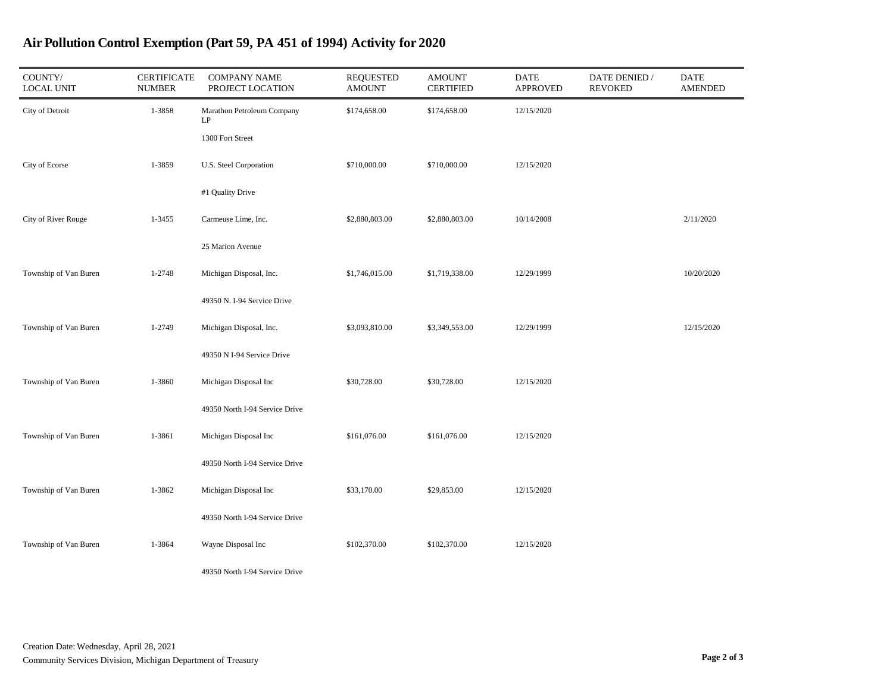| COUNTY/<br><b>LOCAL UNIT</b> | <b>CERTIFICATE</b><br><b>NUMBER</b> | <b>COMPANY NAME</b><br>PROJECT LOCATION | <b>REQUESTED</b><br><b>AMOUNT</b> | <b>AMOUNT</b><br><b>CERTIFIED</b> | <b>DATE</b><br><b>APPROVED</b> | DATE DENIED /<br><b>REVOKED</b> | <b>DATE</b><br><b>AMENDED</b> |
|------------------------------|-------------------------------------|-----------------------------------------|-----------------------------------|-----------------------------------|--------------------------------|---------------------------------|-------------------------------|
| City of Detroit              | 1-3858                              | Marathon Petroleum Company<br>LP        | \$174,658.00                      | \$174,658.00                      | 12/15/2020                     |                                 |                               |
|                              |                                     | 1300 Fort Street                        |                                   |                                   |                                |                                 |                               |
| City of Ecorse               | 1-3859                              | U.S. Steel Corporation                  | \$710,000.00                      | \$710,000.00                      | 12/15/2020                     |                                 |                               |
|                              |                                     | #1 Quality Drive                        |                                   |                                   |                                |                                 |                               |
| City of River Rouge          | 1-3455                              | Carmeuse Lime, Inc.                     | \$2,880,803.00                    | \$2,880,803.00                    | 10/14/2008                     |                                 | 2/11/2020                     |
|                              |                                     | 25 Marion Avenue                        |                                   |                                   |                                |                                 |                               |
| Township of Van Buren        | 1-2748                              | Michigan Disposal, Inc.                 | \$1,746,015.00                    | \$1,719,338.00                    | 12/29/1999                     |                                 | 10/20/2020                    |
|                              |                                     | 49350 N. I-94 Service Drive             |                                   |                                   |                                |                                 |                               |
| Township of Van Buren        | 1-2749                              | Michigan Disposal, Inc.                 | \$3,093,810.00                    | \$3,349,553.00                    | 12/29/1999                     |                                 | 12/15/2020                    |
|                              |                                     | 49350 N I-94 Service Drive              |                                   |                                   |                                |                                 |                               |
| Township of Van Buren        | 1-3860                              | Michigan Disposal Inc                   | \$30,728.00                       | \$30,728.00                       | 12/15/2020                     |                                 |                               |
|                              |                                     | 49350 North I-94 Service Drive          |                                   |                                   |                                |                                 |                               |
| Township of Van Buren        | 1-3861                              | Michigan Disposal Inc                   | \$161,076.00                      | \$161,076.00                      | 12/15/2020                     |                                 |                               |
|                              |                                     | 49350 North I-94 Service Drive          |                                   |                                   |                                |                                 |                               |
| Township of Van Buren        | 1-3862                              | Michigan Disposal Inc                   | \$33,170.00                       | \$29,853.00                       | 12/15/2020                     |                                 |                               |
|                              |                                     | 49350 North I-94 Service Drive          |                                   |                                   |                                |                                 |                               |
| Township of Van Buren        | 1-3864                              | Wayne Disposal Inc                      | \$102,370.00                      | \$102,370.00                      | 12/15/2020                     |                                 |                               |
|                              |                                     | 49350 North I-94 Service Drive          |                                   |                                   |                                |                                 |                               |

## Air Pollution Control Exemption (Part 59, PA 451 of 1994) Activity for 2020